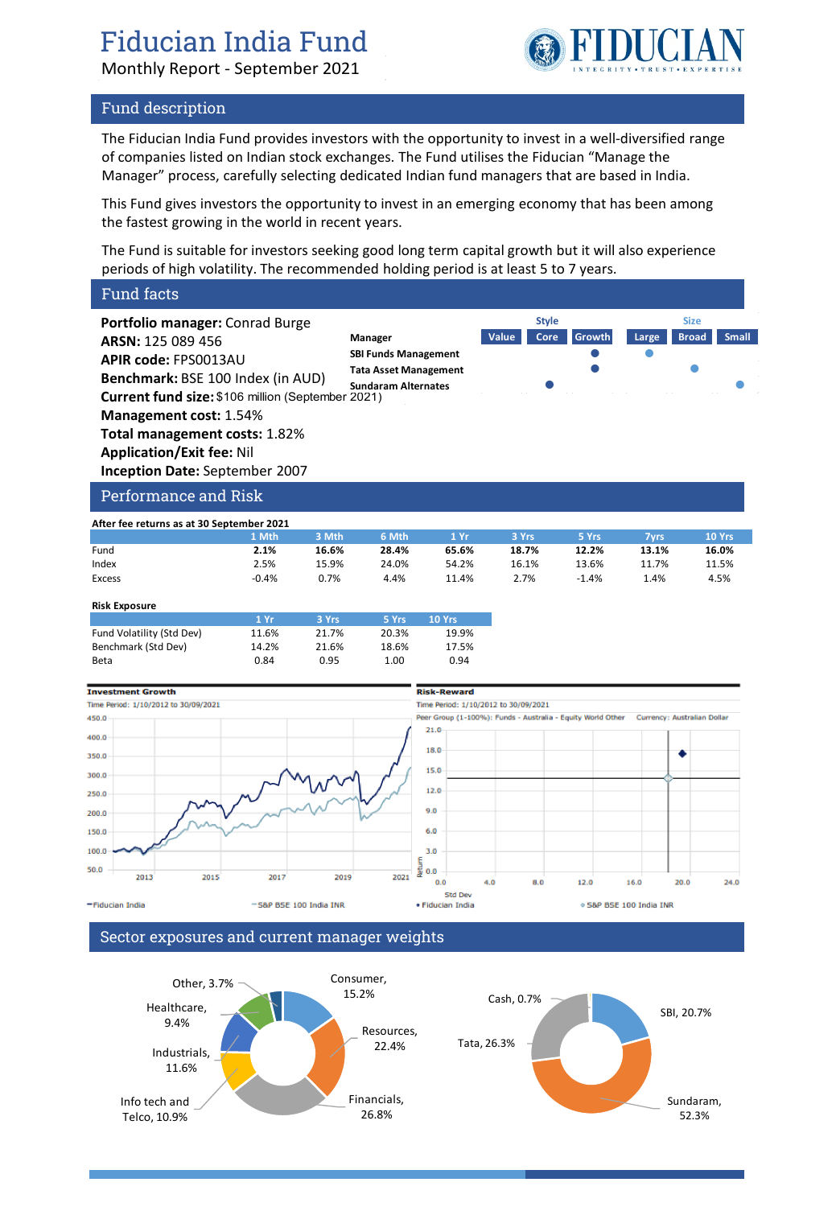# Fiducian India Fund

Monthly Report - September 2021



### Fund description

The Fiducian India Fund provides investors with the opportunity to invest in a well-diversified range of companies listed on Indian stock exchanges. The Fund utilises the Fiducian "Manage the Manager" process, carefully selecting dedicated Indian fund managers that are based in India.

This Fund gives investors the opportunity to invest in an emerging economy that has been among the fastest growing in the world in recent years.

The Fund is suitable for investors seeking good long term capital growth but it will also experience periods of high volatility. The recommended holding period is at least 5 to 7 years.

### Fund facts

**Portfolio manager:** Conrad Burge **ARSN:** 125 089 456 **APIR code:** FPS0013AU **Benchmark:** BSE 100 Index (in AUD) **Current fund size:** \$106 million (September 2021) **Management cost:** 1.54% **Total management costs:** 1.82% **Application/Exit fee:** Nil **Inception Date:** September 2007





### Performance and Risk

| After fee returns as at 30 September 2021 |         |       |       |       |       |         |       |        |
|-------------------------------------------|---------|-------|-------|-------|-------|---------|-------|--------|
|                                           | 1 Mth   | 3 Mth | 6 Mth | 1 Yr  | 3 Yrs | 5 Yrs   | 7vrs  | 10 Yrs |
| Fund                                      | 2.1%    | 16.6% | 28.4% | 65.6% | 18.7% | 12.2%   | 13.1% | 16.0%  |
| Index                                     | 2.5%    | 15.9% | 24.0% | 54.2% | 16.1% | 13.6%   | 11.7% | 11.5%  |
| Excess                                    | $-0.4%$ | 0.7%  | 4.4%  | 11.4% | 2.7%  | $-1.4%$ | 1.4%  | 4.5%   |

### **Risk Exposure**

|                           | 1 Yr  | 3 Yrs | 5 Yrs | 10 Yrs |
|---------------------------|-------|-------|-------|--------|
| Fund Volatility (Std Dev) | 11.6% | 21.7% | 20.3% | 19.9%  |
| Benchmark (Std Dev)       | 14.2% | 21.6% | 18.6% | 17.5%  |
| Beta                      | 0.84  | 0.95  | 1.00  | 0.94   |



### Sector exposures and current manager weights